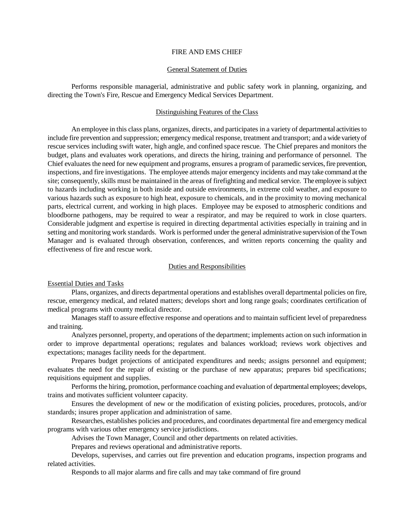## FIRE AND EMS CHIEF

# General Statement of Duties

Performs responsible managerial, administrative and public safety work in planning, organizing, and directing the Town's Fire, Rescue and Emergency Medical Services Department.

# Distinguishing Features of the Class

An employee in this class plans, organizes, directs, and participates in a variety of departmental activities to include fire prevention and suppression; emergency medical response, treatment and transport; and a wide variety of rescue services including swift water, high angle, and confined space rescue. The Chief prepares and monitors the budget, plans and evaluates work operations, and directs the hiring, training and performance of personnel. The Chief evaluates the need for new equipment and programs, ensures a program of paramedic services, fire prevention, inspections, and fire investigations. The employee attends major emergency incidents and may take command at the site; consequently, skills must be maintained in the areas of firefighting and medical service. The employee is subject to hazards including working in both inside and outside environments, in extreme cold weather, and exposure to various hazards such as exposure to high heat, exposure to chemicals, and in the proximity to moving mechanical parts, electrical current, and working in high places. Employee may be exposed to atmospheric conditions and bloodborne pathogens, may be required to wear a respirator, and may be required to work in close quarters. Considerable judgment and expertise is required in directing departmental activities especially in training and in setting and monitoring work standards. Work is performed under the general administrative supervision of the Town Manager and is evaluated through observation, conferences, and written reports concerning the quality and effectiveness of fire and rescue work.

# Duties and Responsibilities

# Essential Duties and Tasks

Plans, organizes, and directs departmental operations and establishes overall departmental policies on fire, rescue, emergency medical, and related matters; develops short and long range goals; coordinates certification of medical programs with county medical director.

Manages staff to assure effective response and operations and to maintain sufficient level of preparedness and training.

Analyzes personnel, property, and operations of the department; implements action on such information in order to improve departmental operations; regulates and balances workload; reviews work objectives and expectations; manages facility needs for the department.

Prepares budget projections of anticipated expenditures and needs; assigns personnel and equipment; evaluates the need for the repair of existing or the purchase of new apparatus; prepares bid specifications; requisitions equipment and supplies.

Performs the hiring, promotion, performance coaching and evaluation of departmental employees; develops, trains and motivates sufficient volunteer capacity.

Ensures the development of new or the modification of existing policies, procedures, protocols, and/or standards; insures proper application and administration of same.

Researches, establishes policies and procedures, and coordinates departmental fire and emergency medical programs with various other emergency service jurisdictions.

Advises the Town Manager, Council and other departments on related activities.

Prepares and reviews operational and administrative reports.

Develops, supervises, and carries out fire prevention and education programs, inspection programs and related activities.

Responds to all major alarms and fire calls and may take command of fire ground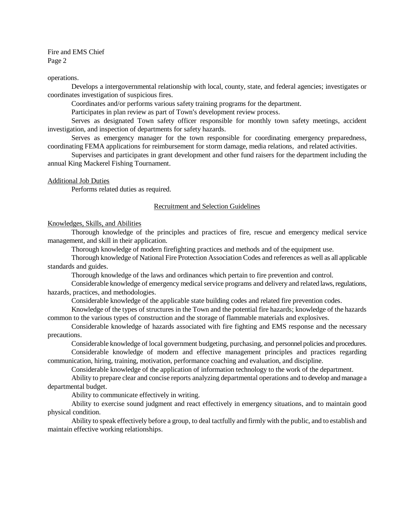Fire and EMS Chief Page 2

#### operations.

Develops a intergovernmental relationship with local, county, state, and federal agencies; investigates or coordinates investigation of suspicious fires.

Coordinates and/or performs various safety training programs for the department.

Participates in plan review as part of Town's development review process.

Serves as designated Town safety officer responsible for monthly town safety meetings, accident investigation, and inspection of departments for safety hazards.

Serves as emergency manager for the town responsible for coordinating emergency preparedness, coordinating FEMA applications for reimbursement for storm damage, media relations, and related activities.

Supervises and participates in grant development and other fund raisers for the department including the annual King Mackerel Fishing Tournament.

#### Additional Job Duties

Performs related duties as required.

## Recruitment and Selection Guidelines

## Knowledges, Skills, and Abilities

Thorough knowledge of the principles and practices of fire, rescue and emergency medical service management, and skill in their application.

Thorough knowledge of modern firefighting practices and methods and of the equipment use.

Thorough knowledge of National Fire Protection Association Codes and references as well as all applicable standards and guides.

Thorough knowledge of the laws and ordinances which pertain to fire prevention and control.

Considerable knowledge of emergency medical service programs and delivery and related laws, regulations, hazards, practices, and methodologies.

Considerable knowledge of the applicable state building codes and related fire prevention codes.

Knowledge of the types of structures in the Town and the potential fire hazards; knowledge of the hazards common to the various types of construction and the storage of flammable materials and explosives.

Considerable knowledge of hazards associated with fire fighting and EMS response and the necessary precautions.

Considerable knowledge of local government budgeting, purchasing, and personnel policies and procedures.

Considerable knowledge of modern and effective management principles and practices regarding communication, hiring, training, motivation, performance coaching and evaluation, and discipline.

Considerable knowledge of the application of information technology to the work of the department.

Ability to prepare clear and concise reports analyzing departmental operations and to develop and manage a departmental budget.

Ability to communicate effectively in writing.

Ability to exercise sound judgment and react effectively in emergency situations, and to maintain good physical condition.

Ability to speak effectively before a group, to deal tactfully and firmly with the public, and to establish and maintain effective working relationships.